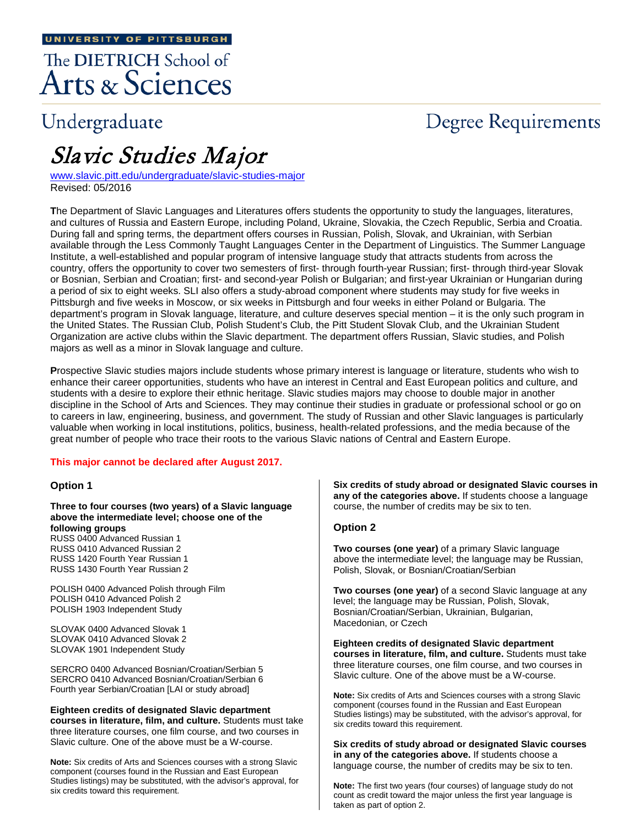# The DIETRICH School of Arts & Sciences

# Undergraduate

# **Degree Requirements**

# Slavic Studies Major

[www.slavic.pitt.edu/undergraduate/slavic-studies-major](http://www.slavic.pitt.edu/undergraduate/slavic-studies-major) Revised: 05/2016

**T**he Department of Slavic Languages and Literatures offers students the opportunity to study the languages, literatures, and cultures of Russia and Eastern Europe, including Poland, Ukraine, Slovakia, the Czech Republic, Serbia and Croatia. During fall and spring terms, the department offers courses in Russian, Polish, Slovak, and Ukrainian, with Serbian available through the Less Commonly Taught Languages Center in the Department of Linguistics. The Summer Language Institute, a well-established and popular program of intensive language study that attracts students from across the country, offers the opportunity to cover two semesters of first- through fourth-year Russian; first- through third-year Slovak or Bosnian, Serbian and Croatian; first- and second-year Polish or Bulgarian; and first-year Ukrainian or Hungarian during a period of six to eight weeks. SLI also offers a study-abroad component where students may study for five weeks in Pittsburgh and five weeks in Moscow, or six weeks in Pittsburgh and four weeks in either Poland or Bulgaria. The department's program in Slovak language, literature, and culture deserves special mention – it is the only such program in the United States. The Russian Club, Polish Student's Club, the Pitt Student Slovak Club, and the Ukrainian Student Organization are active clubs within the Slavic department. The department offers Russian, Slavic studies, and Polish majors as well as a minor in Slovak language and culture.

**P**rospective Slavic studies majors include students whose primary interest is language or literature, students who wish to enhance their career opportunities, students who have an interest in Central and East European politics and culture, and students with a desire to explore their ethnic heritage. Slavic studies majors may choose to double major in another discipline in the School of Arts and Sciences. They may continue their studies in graduate or professional school or go on to careers in law, engineering, business, and government. The study of Russian and other Slavic languages is particularly valuable when working in local institutions, politics, business, health-related professions, and the media because of the great number of people who trace their roots to the various Slavic nations of Central and Eastern Europe.

# **This major cannot be declared after August 2017.**

## **Option 1**

**Three to four courses (two years) of a Slavic language above the intermediate level; choose one of the following groups** RUSS 0400 Advanced Russian 1

RUSS 0410 Advanced Russian 2 RUSS 1420 Fourth Year Russian 1 RUSS 1430 Fourth Year Russian 2

POLISH 0400 Advanced Polish through Film POLISH 0410 Advanced Polish 2 POLISH 1903 Independent Study

SLOVAK 0400 Advanced Slovak 1 SLOVAK 0410 Advanced Slovak 2 SLOVAK 1901 Independent Study

SERCRO 0400 Advanced Bosnian/Croatian/Serbian 5 SERCRO 0410 Advanced Bosnian/Croatian/Serbian 6 Fourth year Serbian/Croatian [LAI or study abroad]

**Eighteen credits of designated Slavic department courses in literature, film, and culture.** Students must take three literature courses, one film course, and two courses in Slavic culture. One of the above must be a W-course.

**Note:** Six credits of Arts and Sciences courses with a strong Slavic component (courses found in the Russian and East European Studies listings) may be substituted, with the advisor's approval, for six credits toward this requirement.

**Six credits of study abroad or designated Slavic courses in any of the categories above.** If students choose a language course, the number of credits may be six to ten.

## **Option 2**

**Two courses (one year)** of a primary Slavic language above the intermediate level; the language may be Russian, Polish, Slovak, or Bosnian/Croatian/Serbian

**Two courses (one year)** of a second Slavic language at any level; the language may be Russian, Polish, Slovak, Bosnian/Croatian/Serbian, Ukrainian, Bulgarian, Macedonian, or Czech

**Eighteen credits of designated Slavic department courses in literature, film, and culture.** Students must take three literature courses, one film course, and two courses in Slavic culture. One of the above must be a W-course.

**Note:** Six credits of Arts and Sciences courses with a strong Slavic component (courses found in the Russian and East European Studies listings) may be substituted, with the advisor's approval, for six credits toward this requirement.

**Six credits of study abroad or designated Slavic courses in any of the categories above.** If students choose a language course, the number of credits may be six to ten.

**Note:** The first two years (four courses) of language study do not count as credit toward the major unless the first year language is taken as part of option 2.